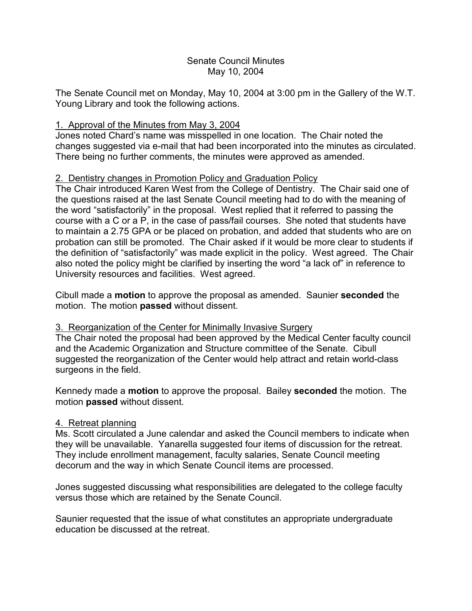#### Senate Council Minutes May 10, 2004

The Senate Council met on Monday, May 10, 2004 at 3:00 pm in the Gallery of the W.T. Young Library and took the following actions.

### 1. Approval of the Minutes from May 3, 2004

Jones noted Chard's name was misspelled in one location. The Chair noted the changes suggested via e-mail that had been incorporated into the minutes as circulated. There being no further comments, the minutes were approved as amended.

## 2. Dentistry changes in Promotion Policy and Graduation Policy

The Chair introduced Karen West from the College of Dentistry. The Chair said one of the questions raised at the last Senate Council meeting had to do with the meaning of the word "satisfactorily" in the proposal. West replied that it referred to passing the course with a C or a P, in the case of pass/fail courses. She noted that students have to maintain a 2.75 GPA or be placed on probation, and added that students who are on probation can still be promoted. The Chair asked if it would be more clear to students if the definition of "satisfactorily" was made explicit in the policy. West agreed. The Chair also noted the policy might be clarified by inserting the word "a lack of" in reference to University resources and facilities. West agreed.

Cibull made a **motion** to approve the proposal as amended. Saunier **seconded** the motion. The motion **passed** without dissent.

# 3. Reorganization of the Center for Minimally Invasive Surgery

The Chair noted the proposal had been approved by the Medical Center faculty council and the Academic Organization and Structure committee of the Senate. Cibull suggested the reorganization of the Center would help attract and retain world-class surgeons in the field.

Kennedy made a **motion** to approve the proposal. Bailey **seconded** the motion. The motion **passed** without dissent.

# 4. Retreat planning

Ms. Scott circulated a June calendar and asked the Council members to indicate when they will be unavailable. Yanarella suggested four items of discussion for the retreat. They include enrollment management, faculty salaries, Senate Council meeting decorum and the way in which Senate Council items are processed.

Jones suggested discussing what responsibilities are delegated to the college faculty versus those which are retained by the Senate Council.

Saunier requested that the issue of what constitutes an appropriate undergraduate education be discussed at the retreat.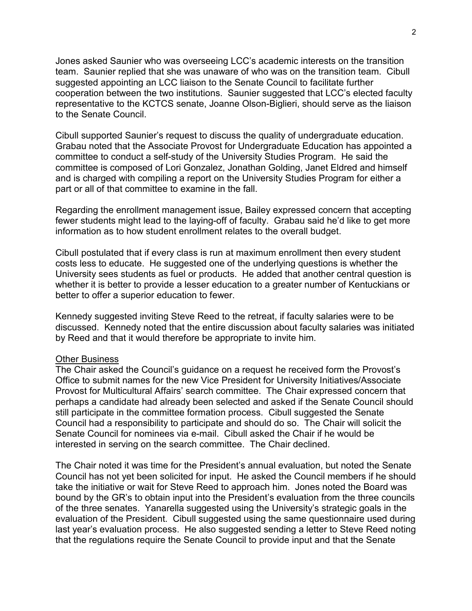Jones asked Saunier who was overseeing LCC's academic interests on the transition team. Saunier replied that she was unaware of who was on the transition team. Cibull suggested appointing an LCC liaison to the Senate Council to facilitate further cooperation between the two institutions. Saunier suggested that LCC's elected faculty representative to the KCTCS senate, Joanne Olson-Biglieri, should serve as the liaison to the Senate Council.

Cibull supported Saunier's request to discuss the quality of undergraduate education. Grabau noted that the Associate Provost for Undergraduate Education has appointed a committee to conduct a self-study of the University Studies Program. He said the committee is composed of Lori Gonzalez, Jonathan Golding, Janet Eldred and himself and is charged with compiling a report on the University Studies Program for either a part or all of that committee to examine in the fall.

Regarding the enrollment management issue, Bailey expressed concern that accepting fewer students might lead to the laying-off of faculty. Grabau said he'd like to get more information as to how student enrollment relates to the overall budget.

Cibull postulated that if every class is run at maximum enrollment then every student costs less to educate. He suggested one of the underlying questions is whether the University sees students as fuel or products. He added that another central question is whether it is better to provide a lesser education to a greater number of Kentuckians or better to offer a superior education to fewer.

Kennedy suggested inviting Steve Reed to the retreat, if faculty salaries were to be discussed. Kennedy noted that the entire discussion about faculty salaries was initiated by Reed and that it would therefore be appropriate to invite him.

#### Other Business

The Chair asked the Council's guidance on a request he received form the Provost's Office to submit names for the new Vice President for University Initiatives/Associate Provost for Multicultural Affairs' search committee. The Chair expressed concern that perhaps a candidate had already been selected and asked if the Senate Council should still participate in the committee formation process. Cibull suggested the Senate Council had a responsibility to participate and should do so. The Chair will solicit the Senate Council for nominees via e-mail. Cibull asked the Chair if he would be interested in serving on the search committee. The Chair declined.

The Chair noted it was time for the President's annual evaluation, but noted the Senate Council has not yet been solicited for input. He asked the Council members if he should take the initiative or wait for Steve Reed to approach him. Jones noted the Board was bound by the GR's to obtain input into the President's evaluation from the three councils of the three senates. Yanarella suggested using the University's strategic goals in the evaluation of the President. Cibull suggested using the same questionnaire used during last year's evaluation process. He also suggested sending a letter to Steve Reed noting that the regulations require the Senate Council to provide input and that the Senate